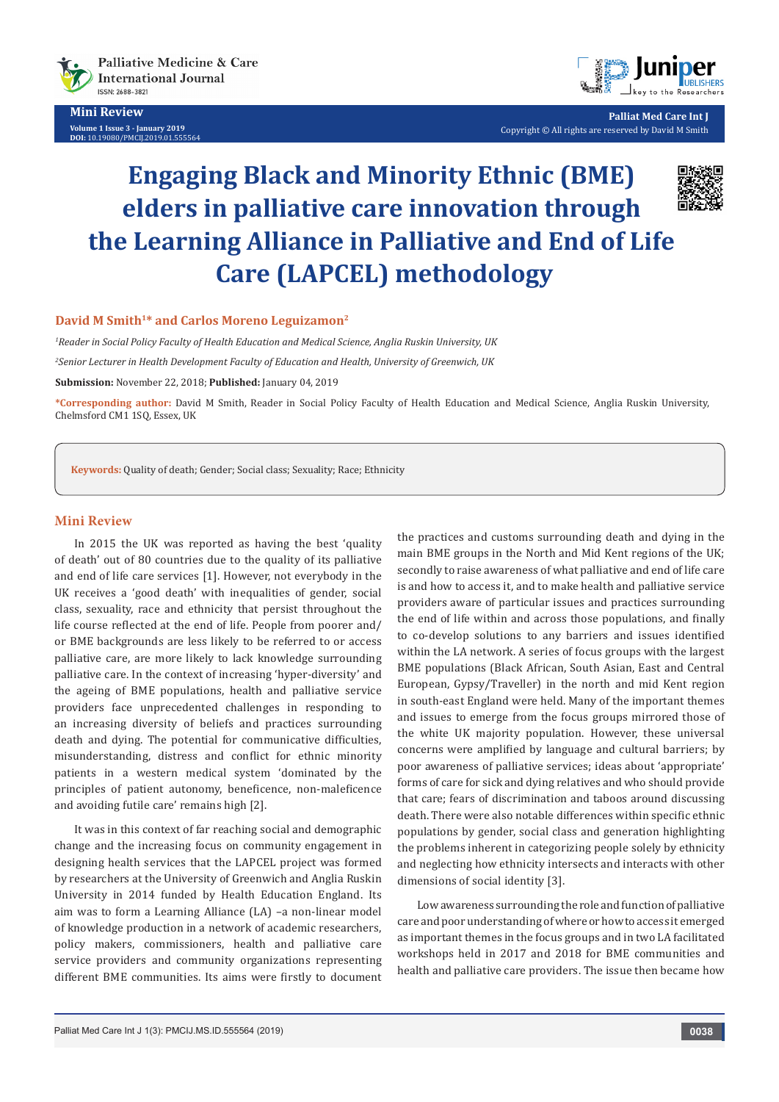



**Palliat Med Care Int J** Copyright © All rights are reserved by David M Smith

# **Engaging Black and Minority Ethnic (BME) elders in palliative care innovation through the Learning Alliance in Palliative and End of Life Care (LAPCEL) methodology**



### **David M Smith1\* and Carlos Moreno Leguizamon2**

*1 Reader in Social Policy Faculty of Health Education and Medical Science, Anglia Ruskin University, UK* 

*2 Senior Lecturer in Health Development Faculty of Education and Health, University of Greenwich, UK*

**Submission:** November 22, 2018; **Published:** January 04, 2019

**\*Corresponding author:** David M Smith, Reader in Social Policy Faculty of Health Education and Medical Science, Anglia Ruskin University, Chelmsford CM1 1SQ, Essex, UK

**Keywords:** Quality of death; Gender; Social class; Sexuality; Race; Ethnicity

### **Mini Review**

In 2015 the UK was reported as having the best 'quality of death' out of 80 countries due to the quality of its palliative and end of life care services [1]. However, not everybody in the UK receives a 'good death' with inequalities of gender, social class, sexuality, race and ethnicity that persist throughout the life course reflected at the end of life. People from poorer and/ or BME backgrounds are less likely to be referred to or access palliative care, are more likely to lack knowledge surrounding palliative care. In the context of increasing 'hyper-diversity' and the ageing of BME populations, health and palliative service providers face unprecedented challenges in responding to an increasing diversity of beliefs and practices surrounding death and dying. The potential for communicative difficulties, misunderstanding, distress and conflict for ethnic minority patients in a western medical system 'dominated by the principles of patient autonomy, beneficence, non-maleficence and avoiding futile care' remains high [2].

It was in this context of far reaching social and demographic change and the increasing focus on community engagement in designing health services that the LAPCEL project was formed by researchers at the University of Greenwich and Anglia Ruskin University in 2014 funded by Health Education England. Its aim was to form a Learning Alliance (LA) –a non-linear model of knowledge production in a network of academic researchers, policy makers, commissioners, health and palliative care service providers and community organizations representing different BME communities. Its aims were firstly to document the practices and customs surrounding death and dying in the main BME groups in the North and Mid Kent regions of the UK; secondly to raise awareness of what palliative and end of life care is and how to access it, and to make health and palliative service providers aware of particular issues and practices surrounding the end of life within and across those populations, and finally to co-develop solutions to any barriers and issues identified within the LA network. A series of focus groups with the largest BME populations (Black African, South Asian, East and Central European, Gypsy/Traveller) in the north and mid Kent region in south-east England were held. Many of the important themes and issues to emerge from the focus groups mirrored those of the white UK majority population. However, these universal concerns were amplified by language and cultural barriers; by poor awareness of palliative services; ideas about 'appropriate' forms of care for sick and dying relatives and who should provide that care; fears of discrimination and taboos around discussing death. There were also notable differences within specific ethnic populations by gender, social class and generation highlighting the problems inherent in categorizing people solely by ethnicity and neglecting how ethnicity intersects and interacts with other dimensions of social identity [3].

Low awareness surrounding the role and function of palliative care and poor understanding of where or how to access it emerged as important themes in the focus groups and in two LA facilitated workshops held in 2017 and 2018 for BME communities and health and palliative care providers. The issue then became how